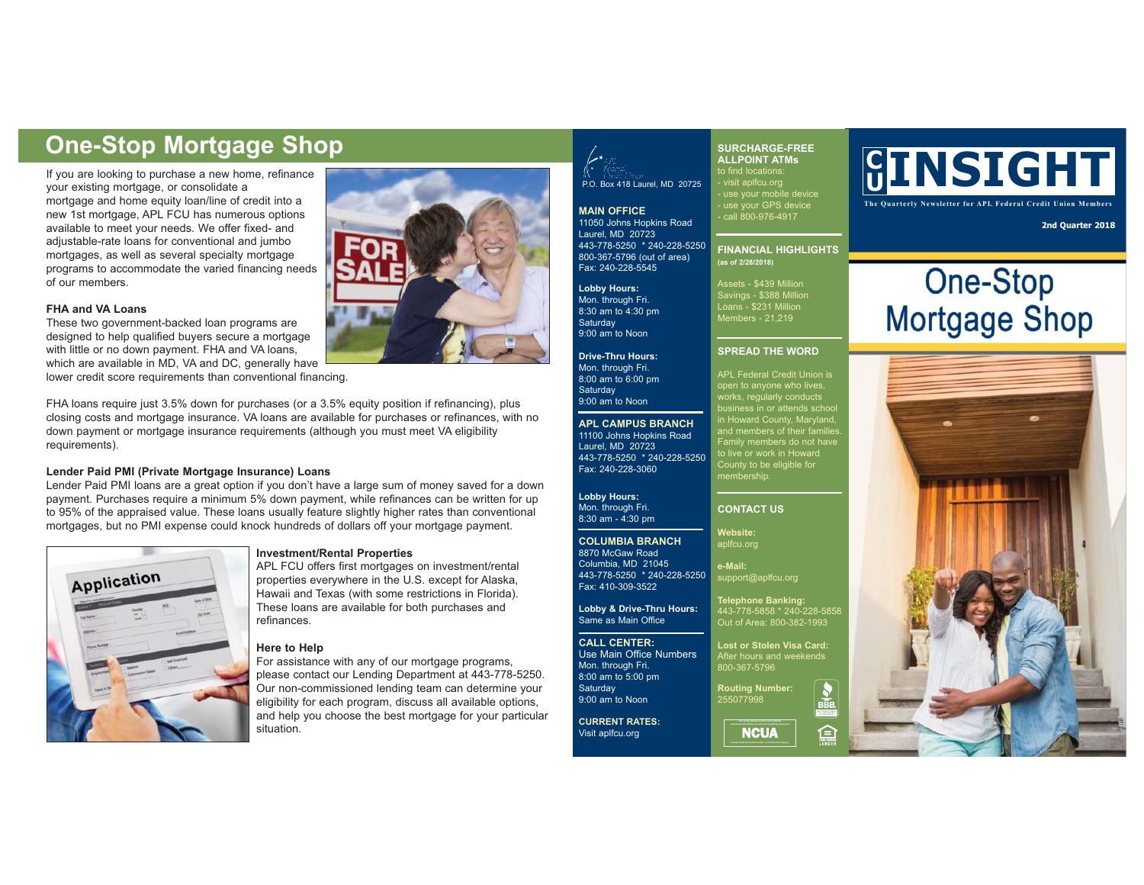If you are looking to purchase a new home, refinance your existing mortgage, or consolidate a mortgage and home equity loan/line of credit into a new 1st mortgage, APL FCU has numerous options available to meet your needs. We offer fixed- and adjustable-rate loans for conventional and jumbo mortgages, as well as several specialty mortgage programs to accommodate the varied financing needs of our members.

#### **FHA and VA Loans**

These two government-backed loan programs are designed to help qualified buyers secure a mortgage with little or no down payment. FHA and VA loans, which are available in MD, VA and DC, generally have lower credit score requirements than conventional financing.

FHA loans require just 3.5% down for purchases (or a 3.5% equity position if refinancing), plus closing costs and mortgage insurance. VA loans are available for purchases or refinances, with no down payment or mortgage insurance requirements (although you must meet VA eligibility requirements).

### **Lender Paid PMI (Private Mortgage Insurance) Loans**

Lender Paid PMI loans are a great option if you don't have a large sum of money saved for a down payment. Purchases require a minimum 5% down payment, while refinances can be written for up to 95% of the appraised value. These loans usually feature slightly higher rates than conventional mortgages, but no PMI expense could knock hundreds of dollars off your mortgage payment.





# P.O. Box 418 Laurel, MD 20725

**MAIN OFFICE** 11050 Johns Hopkins Road Laurel, MD 20723 443-778-5250 \* 240-228-5250 800-367-5796 (out of area) Fax: 240-228-5545

**Lobby Hours:**  Mon. through Fri. 8:30 am to 4:30 pm **Saturday** 9:00 am to Noon

**Drive-Thru Hours:** Mon. through Fri. 8:00 am to 6:00 pm **Saturday** 9:00 am to Noon

**APL CAMPUS BRANCH** 11100 Johns Hopkins Road Laurel, MD 20723 443-778-5250 \* 240-228-5250 Fax: 240-228-3060

**Lobby Hours:** Mon. through Fri. 8:30 am - 4:30 pm

### **COLUMBIA BRANCH** 8870 McGaw Road

Columbia, MD 21045 443-778-5250 \* 240-228-5250 Fax: 410-309-3522

**Lobby & Drive-Thru Hours:** Same as Main Office

**CALL CENTER:** Use Main Office Numbers Mon. through Fri. 8:00 am to 5:00 pm **Saturday** 

9:00 am to Noon **CURRENT RATES:** Visit aplfcu.org

### **SURCHARGE-FREE ALLPOINT ATMs**

to find locations: - visit aplfcu.org - use your mobile device - use your GPS device - call 800-976-4917

**FINANCIAL HIGHLIGHTS (as of 2/28/2018)**

Savings - \$388 Million Loans - \$231 Million Members - 21,219

### **SPREAD THE WORD**

APL Federal Credit Union is works, regularly conducts in Howard County, Maryland, and members of their families. Family members do not have to live or work in Howard County to be eligible for membership.

### **CONTACT US**

**Website:** aplfcu.org

**e-Mail:** support@aplfcu.org

> **Telephone Banking:**<br>443-778-5858 \* 240-228-5858 Out of Area: 800-382-1993

**Lost or Stolen Visa Card:** After hours and weekends 800-367-5796

 $\frac{1}{\sqrt{1-\frac{1}{2}}}\frac{1}{\sqrt{1-\frac{1}{2}}}\frac{1}{\sqrt{1-\frac{1}{2}}}\frac{1}{\sqrt{1-\frac{1}{2}}}\frac{1}{\sqrt{1-\frac{1}{2}}}\frac{1}{\sqrt{1-\frac{1}{2}}}\frac{1}{\sqrt{1-\frac{1}{2}}}\frac{1}{\sqrt{1-\frac{1}{2}}}\frac{1}{\sqrt{1-\frac{1}{2}}}\frac{1}{\sqrt{1-\frac{1}{2}}}\frac{1}{\sqrt{1-\frac{1}{2}}}\frac{1}{\sqrt{1-\frac{1}{2}}}\frac{1}{\sqrt{1-\frac{1}{2}}}\frac{1}{\sqrt{1-\frac{$ 

臼

**Routing Number:** 255077998

**a**<br>NCUA

## **C URE-Stop Mortgage Shop Strop Strop Strop Strop Surcharge-FREE**<br>If you are looking to purchase a new home, refinance **Shop** Surface Shop Burcharge Shop Surface Shop Surface Shop Surface Shop Surface Shop Surface Shop Surfa

**The Quarterly Newsletter for APL Federal Credit Union Members**

**2nd Quarter 2018**

# **One-Stop Mortgage Shop**